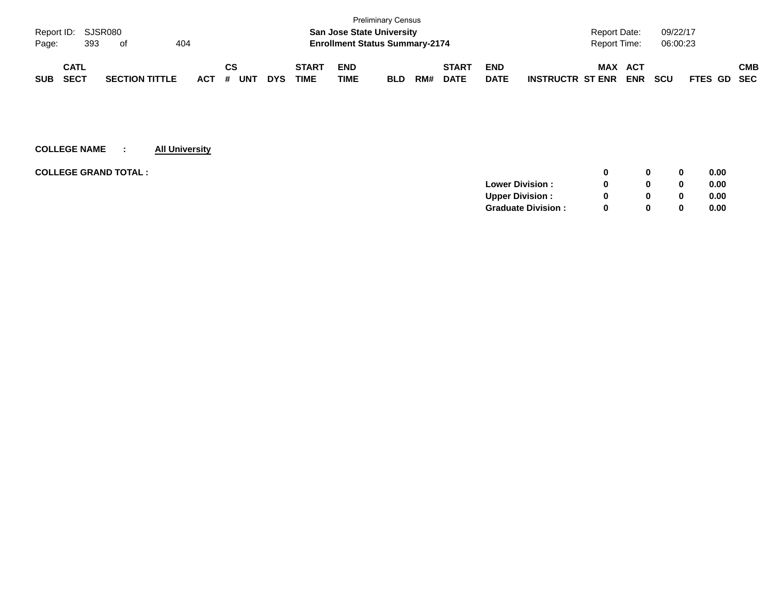|            |                    |  |                       |  |     |    |            |            |                                       |                                  | <b>Preliminary Census</b> |     |              |             |                         |                     |            |            |             |     |
|------------|--------------------|--|-----------------------|--|-----|----|------------|------------|---------------------------------------|----------------------------------|---------------------------|-----|--------------|-------------|-------------------------|---------------------|------------|------------|-------------|-----|
|            | Report ID: SJSR080 |  |                       |  |     |    |            |            |                                       | <b>San Jose State University</b> |                           |     |              |             |                         | <b>Report Date:</b> |            | 09/22/17   |             |     |
| Page:      | 393<br>404<br>of   |  |                       |  |     |    |            |            | <b>Enrollment Status Summary-2174</b> |                                  |                           |     |              |             | <b>Report Time:</b>     |                     | 06:00:23   |            |             |     |
|            | <b>CATL</b>        |  |                       |  |     | СS |            |            | <b>START</b>                          | <b>END</b>                       |                           |     | <b>START</b> | <b>END</b>  |                         | MAX                 | ACT        |            |             | СМВ |
| <b>SUB</b> | <b>SECT</b>        |  | <b>SECTION TITTLE</b> |  | ACT | #  | <b>UNT</b> | <b>DYS</b> | TIME                                  | TIME                             | <b>BLD</b>                | RM# | <b>DATE</b>  | <b>DATE</b> | <b>INSTRUCTR ST ENR</b> |                     | <b>ENR</b> | <b>SCU</b> | FTES GD SEC |     |

| <b>COLLEGE GRAND TOTAL :</b> |                           | 0            | $\bf{0}$ | 0.00 |
|------------------------------|---------------------------|--------------|----------|------|
|                              | <b>Lower Division:</b>    | 0            | 0        | 0.00 |
|                              | <b>Upper Division:</b>    | <sup>0</sup> | 0        | 0.00 |
|                              | <b>Graduate Division:</b> | <sup>0</sup> | 0        | 0.00 |
|                              |                           |              |          |      |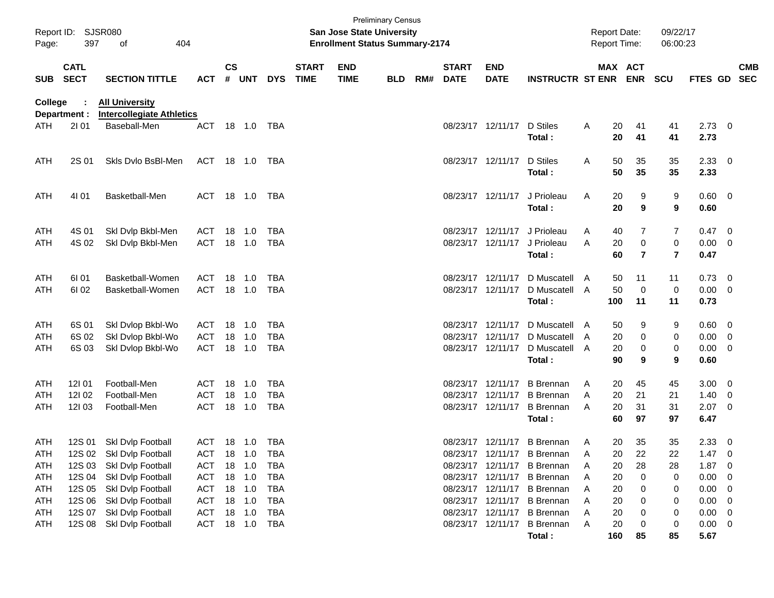| Report ID:<br>Page: | 397                        | SJSR080<br>404<br>οf                                      |                |                             |            |            |                             | <b>San Jose State University</b><br><b>Enrollment Status Summary-2174</b> | <b>Preliminary Census</b> |     |                             |                           |                             |   | <b>Report Date:</b><br><b>Report Time:</b> |            | 09/22/17<br>06:00:23 |                |                |                          |
|---------------------|----------------------------|-----------------------------------------------------------|----------------|-----------------------------|------------|------------|-----------------------------|---------------------------------------------------------------------------|---------------------------|-----|-----------------------------|---------------------------|-----------------------------|---|--------------------------------------------|------------|----------------------|----------------|----------------|--------------------------|
| <b>SUB</b>          | <b>CATL</b><br><b>SECT</b> | <b>SECTION TITTLE</b>                                     | <b>ACT</b>     | $\mathbf{c}\mathbf{s}$<br># | <b>UNT</b> | <b>DYS</b> | <b>START</b><br><b>TIME</b> | <b>END</b><br><b>TIME</b>                                                 | <b>BLD</b>                | RM# | <b>START</b><br><b>DATE</b> | <b>END</b><br><b>DATE</b> | <b>INSTRUCTR ST ENR</b>     |   | <b>MAX ACT</b>                             | <b>ENR</b> | <b>SCU</b>           | <b>FTES GD</b> |                | <b>CMB</b><br><b>SEC</b> |
| College             | ÷<br>Department :          | <b>All University</b><br><b>Intercollegiate Athletics</b> |                |                             |            |            |                             |                                                                           |                           |     |                             |                           |                             |   |                                            |            |                      |                |                |                          |
| ATH                 | 2101                       | Baseball-Men                                              | <b>ACT</b>     |                             | 18 1.0     | TBA        |                             |                                                                           |                           |     |                             | 08/23/17 12/11/17         | D Stiles<br>Total:          | Α | 20<br>20                                   | 41<br>41   | 41<br>41             | 2.73<br>2.73   | 0              |                          |
| <b>ATH</b>          | 2S 01                      | Skls Dvlo BsBI-Men                                        | ACT            |                             | 18 1.0     | TBA        |                             |                                                                           |                           |     |                             | 08/23/17 12/11/17         | D Stiles<br>Total:          | A | 50<br>50                                   | 35<br>35   | 35<br>35             | 2.33<br>2.33   | 0              |                          |
| <b>ATH</b>          | 4101                       | Basketball-Men                                            | ACT            | 18                          | 1.0        | TBA        |                             |                                                                           |                           |     |                             | 08/23/17 12/11/17         | J Prioleau<br>Total:        | A | 20<br>20                                   | 9<br>9     | 9<br>9               | 0.60<br>0.60   | 0              |                          |
| <b>ATH</b>          | 4S 01                      | Skl Dvlp Bkbl-Men                                         | ACT            | 18                          | 1.0        | TBA        |                             |                                                                           |                           |     |                             | 08/23/17 12/11/17         | J Prioleau                  | A | 40                                         | 7          | 7                    | 0.47           | 0              |                          |
| <b>ATH</b>          | 4S 02                      | Ski Dvip Bkbl-Men                                         | <b>ACT</b>     | 18                          | 1.0        | <b>TBA</b> |                             |                                                                           |                           |     |                             | 08/23/17 12/11/17         | J Prioleau<br>Total:        | A | 20<br>60                                   | 0<br>7     | 0<br>$\overline{7}$  | 0.00<br>0.47   | 0              |                          |
| <b>ATH</b>          | 6I 01                      | Basketball-Women                                          | ACT            | 18                          | 1.0        | TBA        |                             |                                                                           |                           |     |                             | 08/23/17 12/11/17         | D Muscatell                 | A | 50                                         | 11         | 11                   | 0.73           | 0              |                          |
| ATH                 | 61 02                      | Basketball-Women                                          | <b>ACT</b>     | 18                          | 1.0        | <b>TBA</b> |                             |                                                                           |                           |     |                             | 08/23/17 12/11/17         | D Muscatell<br>Total:       | A | 50<br>100                                  | 0<br>11    | 0<br>11              | 0.00<br>0.73   | 0              |                          |
| <b>ATH</b>          | 6S 01                      | Skl Dvlop Bkbl-Wo                                         | ACT            | 18                          | 1.0        | TBA        |                             |                                                                           |                           |     |                             | 08/23/17 12/11/17         | D Muscatell                 | A | 50                                         | 9          | 9                    | 0.60           | 0              |                          |
| <b>ATH</b>          | 6S 02                      | Skl Dvlop Bkbl-Wo                                         | ACT            | 18                          | 1.0        | <b>TBA</b> |                             |                                                                           |                           |     | 08/23/17                    | 12/11/17                  | D Muscatell                 | A | 20                                         | 0          | 0                    | 0.00           | 0              |                          |
| ATH                 | 6S 03                      | Skl Dvlop Bkbl-Wo                                         | <b>ACT</b>     | 18                          | 1.0        | TBA        |                             |                                                                           |                           |     |                             | 08/23/17 12/11/17         | D Muscatell                 | A | 20                                         | 0          | 0                    | 0.00           | 0              |                          |
|                     |                            |                                                           |                |                             |            |            |                             |                                                                           |                           |     |                             |                           | Total:                      |   | 90                                         | 9          | 9                    | 0.60           |                |                          |
| <b>ATH</b>          | 12101                      | Football-Men                                              | ACT            | 18                          | 1.0        | TBA        |                             |                                                                           |                           |     | 08/23/17                    | 12/11/17                  | <b>B</b> Brennan            | A | 20                                         | 45         | 45                   | 3.00           | 0              |                          |
| <b>ATH</b>          | 121 02                     | Football-Men                                              | ACT            | 18                          | 1.0        | <b>TBA</b> |                             |                                                                           |                           |     | 08/23/17                    | 12/11/17                  | <b>B</b> Brennan            | A | 20                                         | 21         | 21                   | 1.40           | 0              |                          |
| ATH                 | 12103                      | Football-Men                                              | <b>ACT</b>     | 18                          | 1.0        | <b>TBA</b> |                             |                                                                           |                           |     |                             | 08/23/17 12/11/17         | <b>B</b> Brennan            | A | 20                                         | 31         | 31                   | 2.07           | 0              |                          |
|                     |                            |                                                           |                |                             |            |            |                             |                                                                           |                           |     |                             |                           | Total:                      |   | 60                                         | 97         | 97                   | 6.47           |                |                          |
| <b>ATH</b>          | 12S 01                     | Skl Dvlp Football                                         | ACT            |                             | 18 1.0     | TBA        |                             |                                                                           |                           |     |                             | 08/23/17 12/11/17         | <b>B</b> Brennan            | A | 20                                         | 35         | 35                   | 2.33           | 0              |                          |
| ATH                 |                            | 12S 02 Skl Dvlp Football                                  | ACT 18 1.0 TBA |                             |            |            |                             |                                                                           |                           |     |                             |                           | 08/23/17 12/11/17 B Brennan | A | 20                                         | 22         | 22                   | 1.47           | $\overline{0}$ |                          |
| <b>ATH</b>          | 12S 03                     | Skl Dvlp Football                                         | ACT            |                             | 18  1.0    | TBA        |                             |                                                                           |                           |     |                             |                           | 08/23/17 12/11/17 B Brennan | A | 20                                         | 28         | 28                   | 1.87           | 0              |                          |
| ATH                 | 12S 04                     | Skl Dvlp Football                                         | ACT            | 18                          | 1.0        | <b>TBA</b> |                             |                                                                           |                           |     |                             |                           | 08/23/17 12/11/17 B Brennan | A | 20                                         | 0          | 0                    | 0.00           | 0              |                          |
| ATH                 | 12S 05                     | Skl Dvlp Football                                         | ACT            |                             | 18 1.0     | TBA        |                             |                                                                           |                           |     |                             |                           | 08/23/17 12/11/17 B Brennan | A | 20                                         | 0          | 0                    | 0.00           | 0              |                          |
| <b>ATH</b>          | 12S 06                     | Skl Dvlp Football                                         | ACT            |                             | 18 1.0     | TBA        |                             |                                                                           |                           |     |                             |                           | 08/23/17 12/11/17 B Brennan | A | 20                                         | 0          | 0                    | 0.00           | 0              |                          |
| <b>ATH</b>          | 12S 07                     | Skl Dvlp Football                                         | ACT            | 18                          | 1.0        | TBA        |                             |                                                                           |                           |     |                             |                           | 08/23/17 12/11/17 B Brennan | A | 20                                         | 0          | 0                    | 0.00           | 0              |                          |
| ATH                 | 12S 08                     | Skl Dvlp Football                                         | ACT            |                             | 18 1.0     | TBA        |                             |                                                                           |                           |     |                             |                           | 08/23/17 12/11/17 B Brennan | A | 20                                         | 0          | 0                    | 0.00           | 0              |                          |
|                     |                            |                                                           |                |                             |            |            |                             |                                                                           |                           |     |                             |                           | Total:                      |   | 160                                        | 85         | 85                   | 5.67           |                |                          |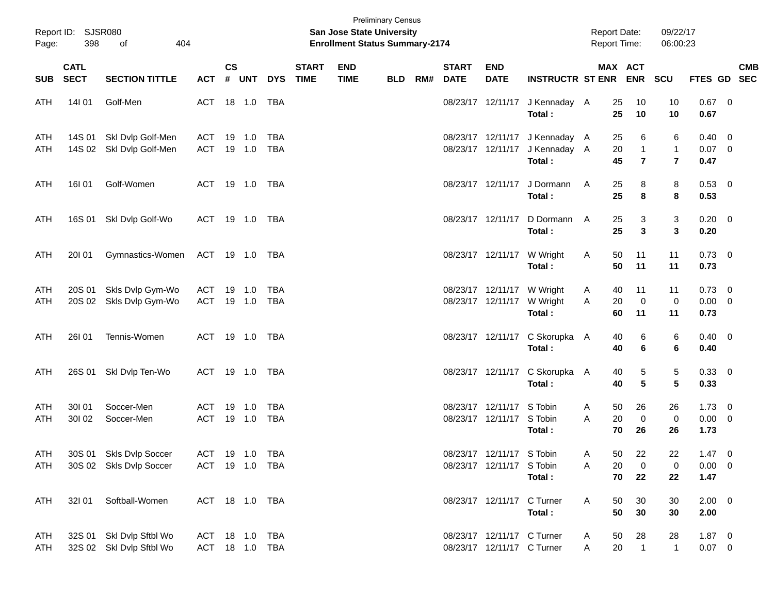| Page:             | Report ID: SJSR080<br>398  | 404<br>of                                          |                                  |                    |                  |                          |                             | <b>San Jose State University</b><br><b>Enrollment Status Summary-2174</b> | <b>Preliminary Census</b> |     |                             |                                                          |                                                                            | <b>Report Date:</b><br><b>Report Time:</b> |                |                                     | 09/22/17<br>06:00:23                         |                                       |     |            |
|-------------------|----------------------------|----------------------------------------------------|----------------------------------|--------------------|------------------|--------------------------|-----------------------------|---------------------------------------------------------------------------|---------------------------|-----|-----------------------------|----------------------------------------------------------|----------------------------------------------------------------------------|--------------------------------------------|----------------|-------------------------------------|----------------------------------------------|---------------------------------------|-----|------------|
| <b>SUB</b>        | <b>CATL</b><br><b>SECT</b> | <b>SECTION TITTLE</b>                              | <b>ACT</b>                       | $\mathsf{cs}$<br># | UNT              | <b>DYS</b>               | <b>START</b><br><b>TIME</b> | <b>END</b><br><b>TIME</b>                                                 | <b>BLD</b>                | RM# | <b>START</b><br><b>DATE</b> | <b>END</b><br><b>DATE</b>                                | <b>INSTRUCTR ST ENR</b>                                                    | MAX ACT                                    |                | ENR SCU                             |                                              | FTES GD SEC                           |     | <b>CMB</b> |
| ATH               | 14101                      | Golf-Men                                           | ACT 18 1.0                       |                    |                  | TBA                      |                             |                                                                           |                           |     |                             | 08/23/17 12/11/17                                        | J Kennaday A<br>Total:                                                     |                                            | 25<br>25       | 10<br>10                            | 10<br>10                                     | $0.67$ 0<br>0.67                      |     |            |
| ATH<br>ATH        | 14S 01<br>14S 02           | Skl Dvlp Golf-Men<br>Skl Dvlp Golf-Men             | ACT<br><b>ACT</b>                |                    | 19 1.0<br>19 1.0 | <b>TBA</b><br><b>TBA</b> |                             |                                                                           |                           |     |                             |                                                          | 08/23/17 12/11/17 J Kennaday A<br>08/23/17 12/11/17 J Kennaday A<br>Total: |                                            | 25<br>20<br>45 | 6<br>$\mathbf{1}$<br>$\overline{7}$ | 6<br>$\mathbf{1}$<br>$\overline{\mathbf{r}}$ | 0.40<br>$0.07$ 0<br>0.47              | - 0 |            |
| ATH               | 16101                      | Golf-Women                                         | ACT 19 1.0 TBA                   |                    |                  |                          |                             |                                                                           |                           |     |                             | 08/23/17 12/11/17                                        | J Dormann<br>Total:                                                        | $\mathsf{A}$                               | 25<br>25       | 8<br>8                              | 8<br>8                                       | $0.53$ 0<br>0.53                      |     |            |
| ATH               |                            | 16S 01 SkI Dvlp Golf-Wo                            | ACT 19 1.0 TBA                   |                    |                  |                          |                             |                                                                           |                           |     |                             | 08/23/17 12/11/17                                        | D Dormann<br>Total:                                                        | A                                          | 25<br>25       | 3<br>3                              | 3<br>3                                       | $0.20 \ 0$<br>0.20                    |     |            |
| ATH               | 20101                      | Gymnastics-Women                                   | ACT 19 1.0 TBA                   |                    |                  |                          |                             |                                                                           |                           |     |                             | 08/23/17 12/11/17 W Wright                               | Total:                                                                     | A                                          | 50<br>50       | 11<br>11                            | 11<br>11                                     | $0.73 \ 0$<br>0.73                    |     |            |
| ATH<br>ATH        | 20S 01<br>20S 02           | Skls Dvlp Gym-Wo<br>Skls Dvlp Gym-Wo               | ACT<br><b>ACT</b>                | 19                 | 1.0<br>19 1.0    | TBA<br>TBA               |                             |                                                                           |                           |     |                             | 08/23/17 12/11/17 W Wright<br>08/23/17 12/11/17          | W Wright<br>Total:                                                         | A<br>A                                     | 40<br>20<br>60 | 11<br>$\mathbf 0$<br>11             | 11<br>$\mathbf 0$<br>11                      | $0.73 \ 0$<br>$0.00 \t 0$<br>0.73     |     |            |
| ATH               | 26101                      | Tennis-Women                                       | ACT 19 1.0 TBA                   |                    |                  |                          |                             |                                                                           |                           |     |                             |                                                          | 08/23/17 12/11/17 C Skorupka A<br>Total:                                   |                                            | 40<br>40       | 6<br>6                              | 6<br>6                                       | $0.40 \ 0$<br>0.40                    |     |            |
| ATH               | 26S 01                     | Skl Dvlp Ten-Wo                                    | ACT 19 1.0 TBA                   |                    |                  |                          |                             |                                                                           |                           |     |                             | 08/23/17 12/11/17                                        | C Skorupka A<br>Total:                                                     |                                            | 40<br>40       | 5<br>5                              | 5<br>5                                       | 0.33 0<br>0.33                        |     |            |
| ATH<br>ATH        | 30101<br>30102             | Soccer-Men<br>Soccer-Men                           | ACT<br><b>ACT</b>                | 19                 | 1.0<br>19 1.0    | TBA<br>TBA               |                             |                                                                           |                           |     |                             | 08/23/17 12/11/17 S Tobin<br>08/23/17 12/11/17 S Tobin   | Total:                                                                     | A<br>A                                     | 50<br>20<br>70 | 26<br>$\mathbf 0$<br>26             | 26<br>$\mathbf 0$<br>26                      | $1.73 \t 0$<br>$0.00 \t 0$<br>1.73    |     |            |
| <b>ATH</b><br>ATH |                            | 30S 01 Skls Dvlp Soccer<br>30S 02 Skls Dvlp Soccer | ACT 19 1.0 TBA<br>ACT 19 1.0 TBA |                    |                  |                          |                             |                                                                           |                           |     |                             | 08/23/17 12/11/17 S Tobin<br>08/23/17 12/11/17 S Tobin   | Total:                                                                     | A<br>Α                                     | 50<br>20<br>70 | 22<br>$\mathbf 0$<br>22             | 22<br>0<br>22                                | $1.47 \quad 0$<br>$0.00 \t 0$<br>1.47 |     |            |
| ATH               | 32101                      | Softball-Women                                     | ACT 18 1.0 TBA                   |                    |                  |                          |                             |                                                                           |                           |     |                             | 08/23/17 12/11/17 C Turner                               | Total:                                                                     | A                                          | 50<br>50       | 30<br>30                            | 30<br>30                                     | $2.00 \t 0$<br>2.00                   |     |            |
| ATH<br>ATH        | 32S 01                     | Skl Dvlp Sftbl Wo<br>32S 02 Skl Dvlp Sftbl Wo      | ACT 18 1.0 TBA<br>ACT 18 1.0 TBA |                    |                  |                          |                             |                                                                           |                           |     |                             | 08/23/17 12/11/17 C Turner<br>08/23/17 12/11/17 C Turner |                                                                            | A<br>A                                     | 50<br>20       | 28<br>$\overline{1}$                | 28<br>$\mathbf{1}$                           | $1.87 \t 0$<br>$0.07$ 0               |     |            |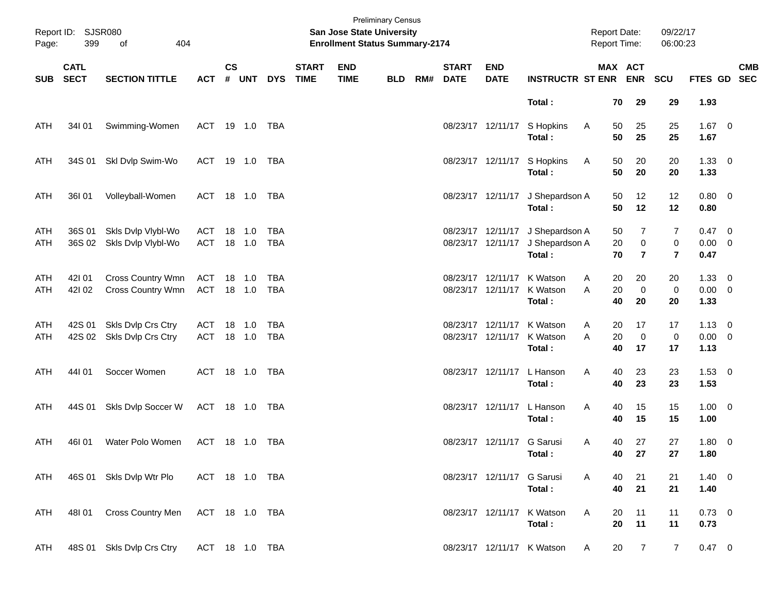| Page:      | Report ID: SJSR080<br>399  | 404<br>of                                |                   |               |                  |                   |                             | San Jose State University<br><b>Enrollment Status Summary-2174</b> | <b>Preliminary Census</b> |     |                             |                                        |                                                              | <b>Report Date:</b><br><b>Report Time:</b> |                                  | 09/22/17<br>06:00:23             |                                       |            |
|------------|----------------------------|------------------------------------------|-------------------|---------------|------------------|-------------------|-----------------------------|--------------------------------------------------------------------|---------------------------|-----|-----------------------------|----------------------------------------|--------------------------------------------------------------|--------------------------------------------|----------------------------------|----------------------------------|---------------------------------------|------------|
| <b>SUB</b> | <b>CATL</b><br><b>SECT</b> | <b>SECTION TITTLE</b>                    | <b>ACT</b>        | $\mathsf{cs}$ | # UNT            | <b>DYS</b>        | <b>START</b><br><b>TIME</b> | <b>END</b><br><b>TIME</b>                                          | <b>BLD</b>                | RM# | <b>START</b><br><b>DATE</b> | <b>END</b><br><b>DATE</b>              | <b>INSTRUCTR ST ENR</b>                                      |                                            | MAX ACT<br><b>ENR</b>            | <b>SCU</b>                       | FTES GD SEC                           | <b>CMB</b> |
|            |                            |                                          |                   |               |                  |                   |                             |                                                                    |                           |     |                             |                                        | Total:                                                       | 70                                         | 29                               | 29                               | 1.93                                  |            |
| ATH        | 34I 01                     | Swimming-Women                           | ACT 19 1.0 TBA    |               |                  |                   |                             |                                                                    |                           |     |                             | 08/23/17 12/11/17                      | S Hopkins<br>Total:                                          | A<br>50<br>50                              | 25<br>25                         | 25<br>25                         | $1.67$ 0<br>1.67                      |            |
| ATH        | 34S 01                     | Skl Dvlp Swim-Wo                         | ACT 19 1.0 TBA    |               |                  |                   |                             |                                                                    |                           |     |                             |                                        | 08/23/17 12/11/17 S Hopkins<br>Total:                        | A<br>50<br>50                              | 20<br>20                         | 20<br>20                         | $1.33 \ 0$<br>1.33                    |            |
| ATH        | 36I 01                     | Volleyball-Women                         | ACT 18 1.0 TBA    |               |                  |                   |                             |                                                                    |                           |     |                             |                                        | 08/23/17 12/11/17 J Shepardson A<br>Total:                   | 50<br>50                                   | 12<br>12                         | 12<br>12                         | $0.80 \ 0$<br>0.80                    |            |
| ATH<br>ATH | 36S 01<br>36S 02           | Skls Dvlp Vlybl-Wo<br>Skls Dvlp Vlybl-Wo | ACT<br>ACT        |               | 18 1.0<br>18 1.0 | TBA<br><b>TBA</b> |                             |                                                                    |                           |     |                             | 08/23/17 12/11/17                      | 08/23/17 12/11/17 J Shepardson A<br>J Shepardson A<br>Total: | 50<br>20<br>70                             | 7<br>$\pmb{0}$<br>$\overline{7}$ | 7<br>$\pmb{0}$<br>$\overline{7}$ | $0.47 \quad 0$<br>$0.00 \t 0$<br>0.47 |            |
| ATH<br>ATH | 42101<br>421 02            | Cross Country Wmn<br>Cross Country Wmn   | ACT<br>ACT 18 1.0 |               | 18 1.0           | TBA<br>TBA        |                             |                                                                    |                           |     |                             | 08/23/17 12/11/17                      | 08/23/17 12/11/17 K Watson<br>K Watson<br>Total:             | 20<br>A<br>A<br>20<br>40                   | 20<br>$\mathbf 0$<br>20          | 20<br>$\pmb{0}$<br>20            | $1.33 \ 0$<br>$0.00 \t 0$<br>1.33     |            |
| ATH<br>ATH | 42S 01<br>42S 02           | Skls Dvlp Crs Ctry<br>Skls Dvlp Crs Ctry | ACT<br><b>ACT</b> |               | 18 1.0<br>18 1.0 | TBA<br>TBA        |                             |                                                                    |                           |     |                             | 08/23/17 12/11/17<br>08/23/17 12/11/17 | K Watson<br>K Watson<br>Total:                               | 20<br>A<br>20<br>A<br>40                   | 17<br>$\mathbf 0$<br>17          | 17<br>$\pmb{0}$<br>17            | $1.13 \ 0$<br>$0.00 \t 0$<br>1.13     |            |
| ATH        | 44101                      | Soccer Women                             | ACT 18 1.0 TBA    |               |                  |                   |                             |                                                                    |                           |     |                             | 08/23/17 12/11/17                      | L Hanson<br>Total:                                           | Α<br>40<br>40                              | 23<br>23                         | 23<br>23                         | $1.53 \t 0$<br>1.53                   |            |
| ATH        | 44S 01                     | Skls Dvlp Soccer W                       | ACT 18 1.0 TBA    |               |                  |                   |                             |                                                                    |                           |     |                             | 08/23/17 12/11/17                      | L Hanson<br>Total:                                           | Α<br>40<br>40                              | 15<br>15                         | 15<br>15                         | $1.00 \t 0$<br>1.00                   |            |
| ATH        | 46I01                      | Water Polo Women                         | ACT 18 1.0 TBA    |               |                  |                   |                             |                                                                    |                           |     |                             | 08/23/17 12/11/17 G Sarusi             | Total:                                                       | 40<br>A<br>40                              | 27<br>27                         | 27<br>27                         | $1.80 \ 0$<br>1.80                    |            |
| ATH        |                            | 46S 01 Skls Dvlp Wtr Plo                 | ACT 18 1.0 TBA    |               |                  |                   |                             |                                                                    |                           |     |                             | 08/23/17 12/11/17 G Sarusi             | Total:                                                       | 40<br>A<br>40                              | 21<br>21                         | 21<br>21                         | $1.40 \ 0$<br>1.40                    |            |
| ATH        | 48I 01                     | <b>Cross Country Men</b>                 | ACT 18 1.0 TBA    |               |                  |                   |                             |                                                                    |                           |     |                             |                                        | 08/23/17 12/11/17 K Watson<br>Total:                         | A<br>20<br>20                              | 11<br>11                         | 11<br>11                         | $0.73 \ 0$<br>0.73                    |            |
| ATH        | 48S 01                     | Skls Dvlp Crs Ctry                       | ACT 18 1.0 TBA    |               |                  |                   |                             |                                                                    |                           |     |                             |                                        | 08/23/17 12/11/17 K Watson                                   | 20<br>A                                    | $\overline{7}$                   | $\overline{7}$                   | $0.47 \ 0$                            |            |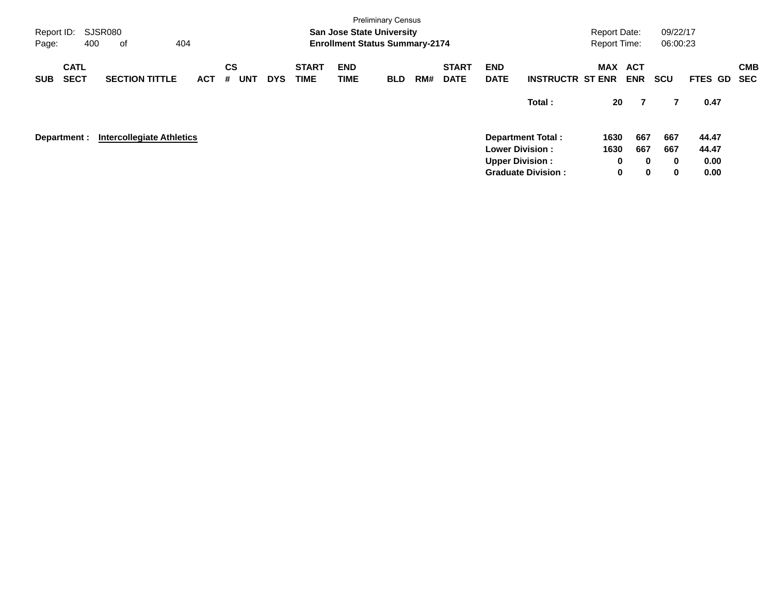| Report ID:<br>Page: | <b>Preliminary Census</b><br>SJSR080<br><b>San Jose State University</b><br>404<br><b>Enrollment Status Summary-2174</b><br>400<br>оf |                                  |            |                              |            |                             |                    |            |     |                             |                           |                           | <b>Report Date:</b><br><b>Report Time:</b> |             | 09/22/17<br>06:00:23 |         |                          |
|---------------------|---------------------------------------------------------------------------------------------------------------------------------------|----------------------------------|------------|------------------------------|------------|-----------------------------|--------------------|------------|-----|-----------------------------|---------------------------|---------------------------|--------------------------------------------|-------------|----------------------|---------|--------------------------|
| <b>SUB</b>          | <b>CATL</b><br><b>SECT</b>                                                                                                            | <b>SECTION TITTLE</b>            | <b>ACT</b> | <b>CS</b><br><b>UNT</b><br># | <b>DYS</b> | <b>START</b><br><b>TIME</b> | <b>END</b><br>TIME | <b>BLD</b> | RM# | <b>START</b><br><b>DATE</b> | <b>END</b><br><b>DATE</b> | <b>INSTRUCTR ST ENR</b>   | MAX ACT                                    | <b>ENR</b>  | <b>SCU</b>           | FTES GD | <b>CMB</b><br><b>SEC</b> |
|                     |                                                                                                                                       |                                  |            |                              |            |                             |                    |            |     |                             |                           | Total:                    | 20                                         | 7           | 7                    | 0.47    |                          |
|                     | Department :                                                                                                                          | <b>Intercollegiate Athletics</b> |            |                              |            |                             |                    |            |     |                             |                           | <b>Department Total:</b>  | 1630                                       | 667         | 667                  | 44.47   |                          |
|                     |                                                                                                                                       |                                  |            |                              |            |                             |                    |            |     |                             | <b>Lower Division:</b>    |                           | 1630                                       | 667         | 667                  | 44.47   |                          |
|                     |                                                                                                                                       |                                  |            |                              |            |                             |                    |            |     |                             | <b>Upper Division:</b>    |                           | 0                                          | $\bf{0}$    | $\bf{0}$             | 0.00    |                          |
|                     |                                                                                                                                       |                                  |            |                              |            |                             |                    |            |     |                             |                           | <b>Graduate Division:</b> | 0                                          | $\mathbf 0$ | 0                    | 0.00    |                          |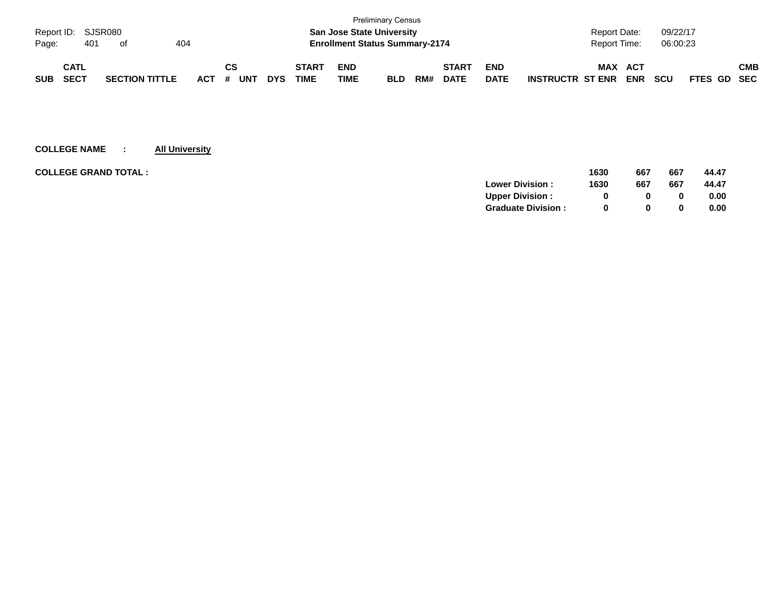|            |                    |  |                       |     |  |    |     |            |              |                                       | <b>Preliminary Census</b>        |     |              |                     |                                       |            |             |     |
|------------|--------------------|--|-----------------------|-----|--|----|-----|------------|--------------|---------------------------------------|----------------------------------|-----|--------------|---------------------|---------------------------------------|------------|-------------|-----|
|            | Report ID: SJSR080 |  |                       |     |  |    |     |            |              |                                       | <b>San Jose State University</b> |     |              |                     | <b>Report Date:</b>                   | 09/22/17   |             |     |
| Page:      | 401<br>404<br>of   |  |                       |     |  |    |     |            |              | <b>Enrollment Status Summary-2174</b> |                                  |     |              | <b>Report Time:</b> | 06:00:23                              |            |             |     |
|            | <b>CATL</b>        |  |                       |     |  | СS |     |            | <b>START</b> | <b>END</b>                            |                                  |     | <b>START</b> | <b>END</b>          | <b>MAX</b><br><b>ACT</b>              |            |             | СМВ |
| <b>SUB</b> | <b>SECT</b>        |  | <b>SECTION TITTLE</b> | ACT |  | #  | UN⊤ | <b>DYS</b> | TIME         | <b>TIME</b>                           | <b>BLD</b>                       | RM# | <b>DATE</b>  | <b>DATE</b>         | <b>INSTRUCTR ST ENR</b><br><b>ENR</b> | <b>SCU</b> | FTES GD SEC |     |

| <b>COLLEGE GRAND TOTAL:</b> | 1630                      | 667          | 667 | 44.47 |
|-----------------------------|---------------------------|--------------|-----|-------|
| <b>Lower Division:</b>      | 1630                      | 667          | 667 | 44.47 |
| <b>Upper Division:</b>      |                           | 0            | 0   | 0.00  |
|                             | <b>Graduate Division:</b> | <sup>0</sup> | 0   | 0.00  |
|                             |                           |              |     |       |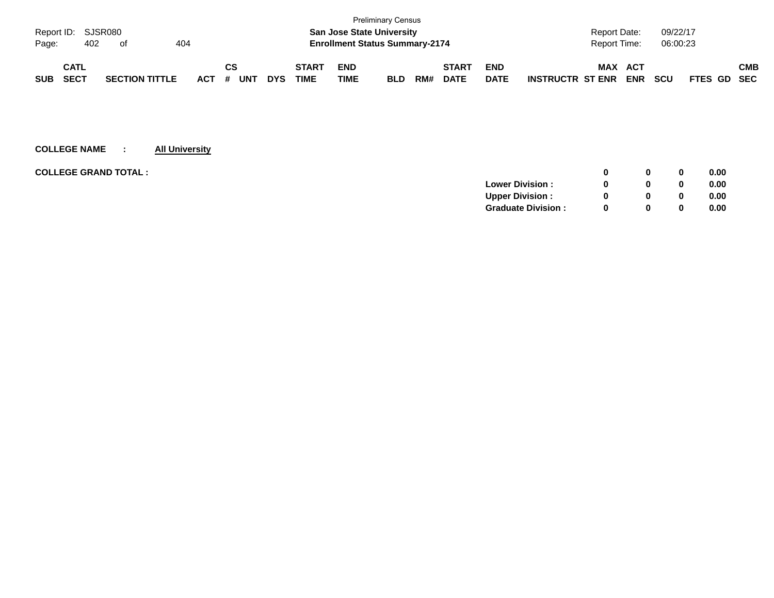|            |                    |  |                       |  |     |    |            |            |                                       |                                  | <b>Preliminary Census</b> |     |              |             |                         |                     |            |            |             |     |
|------------|--------------------|--|-----------------------|--|-----|----|------------|------------|---------------------------------------|----------------------------------|---------------------------|-----|--------------|-------------|-------------------------|---------------------|------------|------------|-------------|-----|
|            | Report ID: SJSR080 |  |                       |  |     |    |            |            |                                       | <b>San Jose State University</b> |                           |     |              |             |                         | <b>Report Date:</b> |            | 09/22/17   |             |     |
| Page:      | 404<br>402<br>of   |  |                       |  |     |    |            |            | <b>Enrollment Status Summary-2174</b> |                                  |                           |     |              |             | <b>Report Time:</b>     |                     | 06:00:23   |            |             |     |
|            | <b>CATL</b>        |  |                       |  |     | СS |            |            | <b>START</b>                          | <b>END</b>                       |                           |     | <b>START</b> | <b>END</b>  |                         | <b>MAX</b>          | <b>ACT</b> |            |             | СМВ |
| <b>SUB</b> | <b>SECT</b>        |  | <b>SECTION TITTLE</b> |  | ACT | #  | <b>UNT</b> | <b>DYS</b> | TIME                                  | TIME                             | <b>BLD</b>                | RM# | <b>DATE</b>  | <b>DATE</b> | <b>INSTRUCTR ST ENR</b> |                     | <b>ENR</b> | <b>SCU</b> | FTES GD SEC |     |

| <b>COLLEGE GRAND TOTAL :</b> |                           | 0            | $\bf{0}$ | 0.00 |
|------------------------------|---------------------------|--------------|----------|------|
|                              | <b>Lower Division:</b>    | 0            | 0        | 0.00 |
|                              | <b>Upper Division:</b>    | <sup>0</sup> | 0        | 0.00 |
|                              | <b>Graduate Division:</b> | <sup>0</sup> | 0        | 0.00 |
|                              |                           |              |          |      |